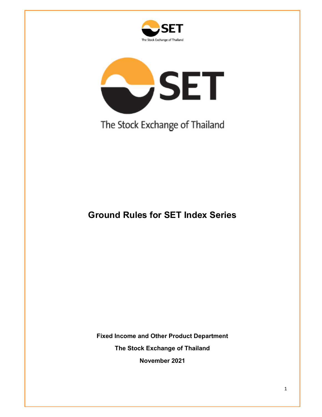



The Stock Exchange of Thailand

# **Ground Rules for SET Index Series**

**Fixed Income and Other Product Department**

**The Stock Exchange of Thailand**

**November 2021**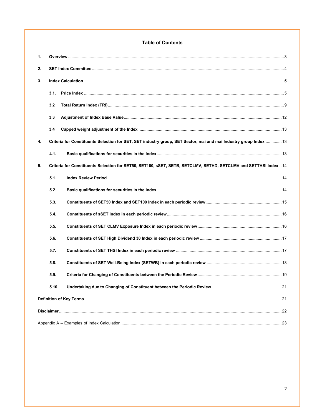### **Table of Contents**

| 1. |                                                                                                                   |  |
|----|-------------------------------------------------------------------------------------------------------------------|--|
| 2. |                                                                                                                   |  |
| 3. |                                                                                                                   |  |
|    | 3.1.                                                                                                              |  |
|    | 3.2                                                                                                               |  |
|    | 3.3                                                                                                               |  |
|    | 3.4                                                                                                               |  |
| 4. | Criteria for Constituents Selection for SET, SET industry group, SET Sector, mai and mai Industry group Index  13 |  |
|    | 4.1.                                                                                                              |  |
| 5. | Criteria for Constituents Selection for SET50, SET100, SSET, SETB, SETCLMV, SETHD, SETCLMV and SETTHSI Index 14   |  |
|    | 5.1.                                                                                                              |  |
|    | 5.2.                                                                                                              |  |
|    | 5.3.                                                                                                              |  |
|    | 5.4.                                                                                                              |  |
|    | 5.5.                                                                                                              |  |
|    | 5.6.                                                                                                              |  |
|    | 5.7.                                                                                                              |  |
|    | 5.8.                                                                                                              |  |
|    | 5.9.                                                                                                              |  |
|    | 5.10.                                                                                                             |  |
|    |                                                                                                                   |  |
|    |                                                                                                                   |  |
|    |                                                                                                                   |  |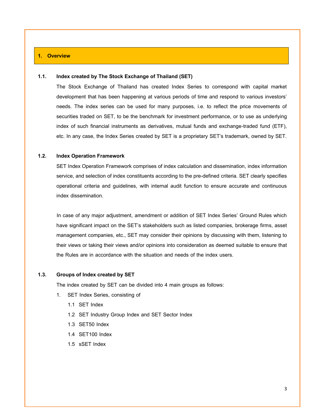#### <span id="page-2-0"></span>**1. Overview**

#### **1.1. Index created by The Stock Exchange of Thailand (SET)**

The Stock Exchange of Thailand has created Index Series to correspond with capital market development that has been happening at various periods of time and respond to various investors' needs. The index series can be used for many purposes, i.e. to reflect the price movements of securities traded on SET, to be the benchmark for investment performance, or to use as underlying index of such financial instruments as derivatives, mutual funds and exchange-traded fund (ETF), etc. In any case, the Index Series created by SET is a proprietary SET's trademark, owned by SET.

#### **1.2. Index Operation Framework**

SET Index Operation Framework comprises of index calculation and dissemination, index information service, and selection of index constituents according to the pre-defined criteria. SET clearly specifies operational criteria and guidelines, with internal audit function to ensure accurate and continuous index dissemination.

In case of any major adjustment, amendment or addition of SET Index Series' Ground Rules which have significant impact on the SET's stakeholders such as listed companies, brokerage firms, asset management companies, etc., SET may consider their opinions by discussing with them, listening to their views or taking their views and/or opinions into consideration as deemed suitable to ensure that the Rules are in accordance with the situation and needs of the index users.

#### **1.3. Groups of Index created by SET**

The index created by SET can be divided into 4 main groups as follows:

- 1. SET Index Series, consisting of
	- 1.1 SET Index
	- 1.2 SET Industry Group Index and SET Sector Index
	- 1.3 SET50 Index
	- 1.4 SET100 Index
	- 1.5 sSET Index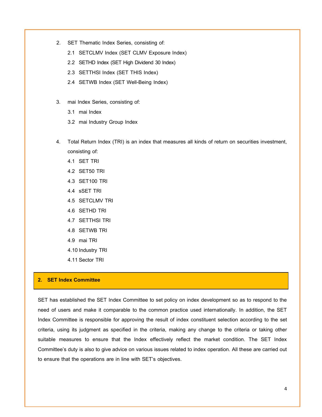- 2. SET Thematic Index Series, consisting of:
	- 2.1 SETCLMV Index (SET CLMV Exposure Index)
	- 2.2 SETHD Index (SET High Dividend 30 Index)
	- 2.3 SETTHSI Index (SET THIS Index)
	- 2.4 SETWB Index (SET Well-Being Index)
- 3. mai Index Series, consisting of:
	- 3.1 mai Index
	- 3.2 mai Industry Group Index
- 4. Total Return Index (TRI) is an index that measures all kinds of return on securities investment, consisting of:
	- 4.1 SET TRI
	- 4.2 SET50 TRI
	- 4.3 SET100 TRI
	- 4.4 sSET TRI
	- 4.5 SETCLMV TRI
	- 4.6 SETHD TRI
	- 4.7 SETTHSI TRI
	- 4.8 SETWB TRI
	- 4.9 mai TRI
	- 4.10 Industry TRI
	- 4.11 Sector TRI

#### <span id="page-3-0"></span>**2. SET Index Committee**

SET has established the SET Index Committee to set policy on index development so as to respond to the need of users and make it comparable to the common practice used internationally. In addition, the SET Index Committee is responsible for approving the result of index constituent selection according to the set criteria, using its judgment as specified in the criteria, making any change to the criteria or taking other suitable measures to ensure that the Index effectively reflect the market condition. The SET Index Committee's duty is also to give advice on various issues related to index operation. All these are carried out to ensure that the operations are in line with SET's objectives.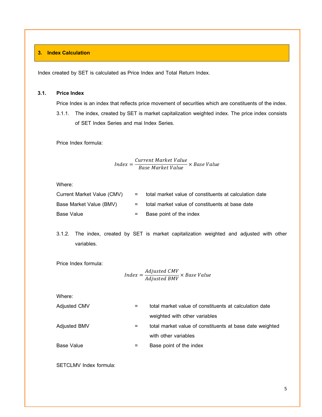# <span id="page-4-0"></span>**3. Index Calculation**

Index created by SET is calculated as Price Index and Total Return Index.

# <span id="page-4-1"></span>**3.1. Price Index**

Price Index is an index that reflects price movement of securities which are constituents of the index.

3.1.1. The index, created by SET is market capitalization weighted index. The price index consists of SET Index Series and mai Index Series.

Price Index formula:

$$
Index = \frac{Current\ Market\ Value}{Base\ Market\ Value} \times Base\ Value
$$

Where:

| Current Market Value (CMV) | = total market value of constituents at calculation date |
|----------------------------|----------------------------------------------------------|
| Base Market Value (BMV)    | $=$ total market value of constituents at base date      |
| Base Value                 | $=$ Base point of the index                              |

3.1.2. The index, created by SET is market capitalization weighted and adjusted with other variables.

Price Index formula:

$$
Index = \frac{Adjusted \, \text{CMV}}{Adjusted \, \text{BMV}} \times Base \, Value
$$

Where:

| Adjusted CMV | $=$ | total market value of constituents at calculation date   |
|--------------|-----|----------------------------------------------------------|
|              |     | weighted with other variables                            |
| Adjusted BMV | =   | total market value of constituents at base date weighted |
|              |     | with other variables                                     |
| Base Value   | Ξ.  | Base point of the index                                  |

SETCLMV Index formula: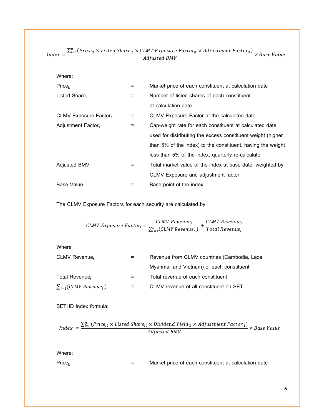| Where:                          |     |                                                             |
|---------------------------------|-----|-------------------------------------------------------------|
| Price <sub>it</sub>             | $=$ | Market price of each constituent at calculation date        |
| Listed Share $_{it}$            | $=$ | Number of listed shares of each constituent                 |
|                                 |     | at calculation date                                         |
| CLMV Exposure Factor.           | Ξ   | CLMV Exposure Factor at the calculated date                 |
| Adjustment Factor <sub>it</sub> | Ξ   | Cap-weight rate for each constituent at calculated date,    |
|                                 |     | used for distributing the excess constituent weight (higher |
|                                 |     | than 5% of the index) to the constituent, having the weight |
|                                 |     | less than 5% of the index, quarterly re-calculate           |
| Adjusted BMV                    | $=$ | Total market value of the index at base date, weighted by   |
|                                 |     | CLMV Exposure and adjustment factor                         |
| <b>Base Value</b>               |     | Base point of the index                                     |

*Index*  $= \frac{\sum_{i=1}^{n} (Price_{it} \times listed\,Share_{it} \times CLMV\,Exposure\,Factor_{it} \times Adjustment\,Factor_{it})}{A.V. \cdot A.V. \cdot A.D.MV}$  $A$  and  $\overline{A}$  and  $\overline{B}$  and  $\overline{C}$  and  $\overline{C}$  and  $\overline{C}$  and  $\overline{C}$  and  $\overline{C}$  and  $\overline{C}$  and  $\overline{C}$  and  $\overline{C}$  and  $\overline{C}$  and  $\overline{C}$  and  $\overline{C}$  and  $\overline{C}$  and  $\overline{C}$  and  $\overline{C}$  and  $\overline{$ 

The CLMV Exposure Factors for each security are calculated by

$$
\textit{CLMV Exposure Factor}_{i} = \frac{\textit{CLMV Revenue}_{i}}{\sum_{i=1}^{n}(\textit{CLMV Revenue}_{i})} + \frac{\textit{CLMV Revenue}_{i}}{\textit{Total Revenue}_{i}}
$$

Where CLMV Revenue<sub>i</sub>  $=$  Revenue from CLMV countries (Cambodia, Laos, Myanmar and Vietnam) of each constituent Total Revenue<sub>i</sub>  $=$  Total revenue of each constituent  $\sum_{i=1}^n (\mathit{CLMV}\,\mathit{Revenue}_i\,)$ =1 = CLMV revenue of all constituent on SET

# SETHD Index formula:

$$
Index = \frac{\sum_{i=1}^{n} (Price_{it} \times listed\,Share_{it} \times Dividend\,Yield_{it} \times Adjustment\,Factor_{it})}{Adjusted\,BW} \times Base\,Value
$$

Where:

Price $_{it}$  = Market price of each constituent at calculation date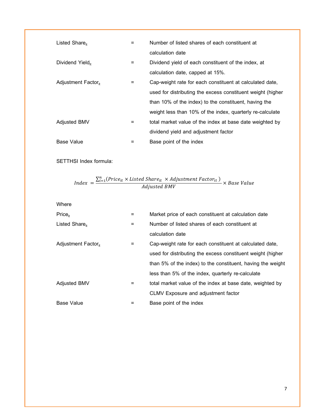| Listed Share $_{\text{it}}$     | $=$ | Number of listed shares of each constituent at              |
|---------------------------------|-----|-------------------------------------------------------------|
|                                 |     | calculation date                                            |
| Dividend Yield <sub>it</sub>    | Ξ.  | Dividend yield of each constituent of the index, at         |
|                                 |     | calculation date, capped at 15%.                            |
| Adjustment Factor <sub>it</sub> | $=$ | Cap-weight rate for each constituent at calculated date,    |
|                                 |     | used for distributing the excess constituent weight (higher |
|                                 |     | than 10% of the index) to the constituent, having the       |
|                                 |     | weight less than 10% of the index, quarterly re-calculate   |
| <b>Adjusted BMV</b>             | $=$ | total market value of the index at base date weighted by    |
|                                 |     | dividend yield and adjustment factor                        |
| <b>Base Value</b>               |     | Base point of the index                                     |

SETTHSI Index formula:

$$
Index = \frac{\sum_{i=1}^{n} (Price_{it} \times listed \,Share_{it} \times Adjustment \,Factor_{it})}{Adjusted \, BW} \times Base \,Value
$$

Where

| Price <sub>it</sub>             | $=$      | Market price of each constituent at calculation date        |
|---------------------------------|----------|-------------------------------------------------------------|
| Listed Share.                   | $\equiv$ | Number of listed shares of each constituent at              |
|                                 |          | calculation date                                            |
| Adjustment Factor <sub>it</sub> |          | Cap-weight rate for each constituent at calculated date,    |
|                                 |          | used for distributing the excess constituent weight (higher |
|                                 |          | than 5% of the index) to the constituent, having the weight |
|                                 |          | less than 5% of the index, quarterly re-calculate           |
| <b>Adjusted BMV</b>             | Ξ        | total market value of the index at base date, weighted by   |
|                                 |          | CLMV Exposure and adjustment factor                         |
| Base Value                      |          | Base point of the index                                     |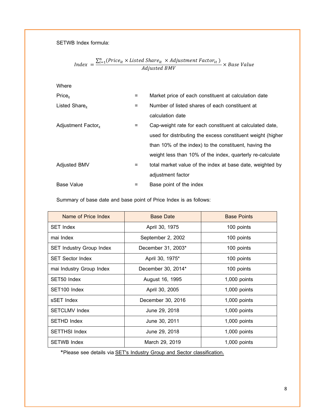SETWB Index formula:

$$
Index = \frac{\sum_{i=1}^{n} (Price_{it} \times listed\,Share_{it} \times Adjustment\,Factor_{it})}{Adjusted\,BW} \times Base\,Value
$$

Where

| Price <sub>it</sub>             | Ξ   | Market price of each constituent at calculation date        |
|---------------------------------|-----|-------------------------------------------------------------|
| Listed Share $_{\text{H}}$      | =   | Number of listed shares of each constituent at              |
|                                 |     | calculation date                                            |
| Adjustment Factor <sub>it</sub> | Ξ   | Cap-weight rate for each constituent at calculated date,    |
|                                 |     | used for distributing the excess constituent weight (higher |
|                                 |     | than 10% of the index) to the constituent, having the       |
|                                 |     | weight less than 10% of the index, quarterly re-calculate   |
| <b>Adjusted BMV</b>             | =   | total market value of the index at base date, weighted by   |
|                                 |     | adjustment factor                                           |
| <b>Base Value</b>               | $=$ | Base point of the index                                     |

Summary of base date and base point of Price Index is as follows:

| Name of Price Index             | <b>Base Date</b>   | <b>Base Points</b> |
|---------------------------------|--------------------|--------------------|
| <b>SET Index</b>                | April 30, 1975     | 100 points         |
| mai Index                       | September 2, 2002  | 100 points         |
| <b>SET Industry Group Index</b> | December 31, 2003* | 100 points         |
| <b>SET Sector Index</b>         | April 30, 1975*    | 100 points         |
| mai Industry Group Index        | December 30, 2014* | 100 points         |
| SET50 Index                     | August 16, 1995    | $1,000$ points     |
| SET100 Index                    | April 30, 2005     | $1,000$ points     |
| sSET Index                      | December 30, 2016  | 1,000 points       |
| <b>SETCLMV Index</b>            | June 29, 2018      | 1,000 points       |
| <b>SETHD Index</b>              | June 30, 2011      | $1,000$ points     |
| <b>SETTHSI Index</b>            | June 29, 2018      | $1,000$ points     |
| <b>SETWB Index</b>              | March 29, 2019     | $1,000$ points     |

\*Please see details via [SET's Industry Group and Sector classification](https://www.set.or.th/en/products/index/files/2015-2-19-SET-Industry-Group-Sector-Classification-En.pdf).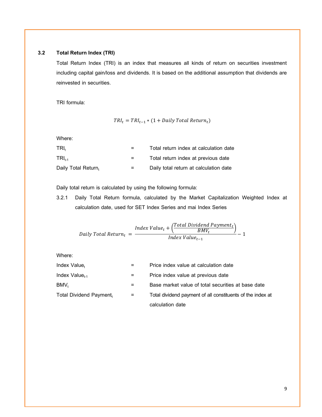# <span id="page-8-0"></span>**3.2 Total Return Index (TRI)**

Total Return Index (TRI) is an index that measures all kinds of return on securities investment including capital gain/loss and dividends. It is based on the additional assumption that dividends are reinvested in securities.

TRI formula:

$$
TRI_t = TRI_{t-1} * (1 + Daily Total Return_t)
$$

Where:

| TRI.                | $=$ | Total return index at calculation date |
|---------------------|-----|----------------------------------------|
| $TRI_{t,1}$         |     | Total return index at previous date    |
| Daily Total Return, | $=$ | Daily total return at calculation date |

Daily total return is calculated by using the following formula:

3.2.1 Daily Total Return formula, calculated by the Market Capitalization Weighted Index at calculation date, used for SET Index Series and mai Index Series

$$
Daily\ Total\ Return_t = \frac{Index\ Value_t + (\frac{Total\ Dividend\ Payment_t}{BMV_t})}{Index\ Value_{t-1}} - 1
$$

Where:

| Index Value,            | =   | Price index value at calculation date                      |
|-------------------------|-----|------------------------------------------------------------|
| Index Value $_{t-1}$    | $=$ | Price index value at previous date                         |
| BMV <sub>t</sub>        | $=$ | Base market value of total securities at base date         |
| Total Dividend Payment, | $=$ | Total dividend payment of all constituents of the index at |
|                         |     | calculation date                                           |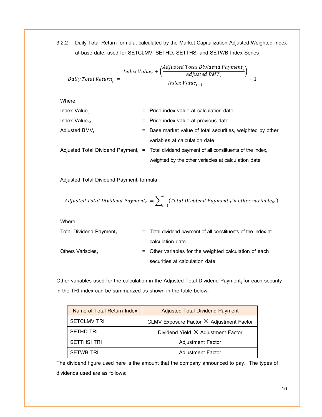3.2.2 Daily Total Return formula, calculated by the Market Capitalization Adjusted-Weighted Index at base date, used for SETCLMV, SETHD, SETTHSI and SETWB Index Series

$$
Daily \ Total \ Return_{t} = \frac{Index \ Value_{t} + \left(\frac{Adjusted \ Total \ Dividend \ Payment_{t}}{Adjusted \ BMV_{t}}\right)}{Index \ Value_{t-1}} - 1
$$

Where:

| Index Value,              | $=$ Price index value at calculation date                                                     |
|---------------------------|-----------------------------------------------------------------------------------------------|
| Index Value $_{t-1}$      | = Price index value at previous date                                                          |
| Adjusted BMV <sub>t</sub> | = Base market value of total securities, weighted by other                                    |
|                           | variables at calculation date                                                                 |
|                           | Adjusted Total Dividend Payment, $=$ Total dividend payment of all constituents of the index, |
|                           | weighted by the other variables at calculation date                                           |

Adjusted Total Dividend Payment<sub>t</sub> formula:

$$
\textit{Adjusted Total Dividend Payment}_{t} = \sum_{i=1}^{n} (Total Dividend Payment_{it} \times other\ variable_{it})
$$

Where

| Total Dividend Payment <sub>it</sub> | $=$ Total dividend payment of all constituents of the index at |
|--------------------------------------|----------------------------------------------------------------|
|                                      | calculation date                                               |
| Others Variables $_{\rm it}$         | = Other variables for the weighted calculation of each         |
|                                      | securities at calculation date                                 |

Other variables used for the calculation in the Adjusted Total Dividend Payment<sub>t</sub> for each security in the TRI index can be summarized as shown in the table below.

| Name of Total Return Index | <b>Adjusted Total Dividend Payment</b>   |
|----------------------------|------------------------------------------|
| <b>SETCLMV TRI</b>         | CLMV Exposure Factor X Adjustment Factor |
| <b>SETHD TRI</b>           | Dividend Yield X Adjustment Factor       |
| <b>SETTHSI TRI</b>         | <b>Adjustment Factor</b>                 |
| <b>SETWB TRI</b>           | <b>Adjustment Factor</b>                 |

The dividend figure used here is the amount that the company announced to pay. The types of dividends used are as follows: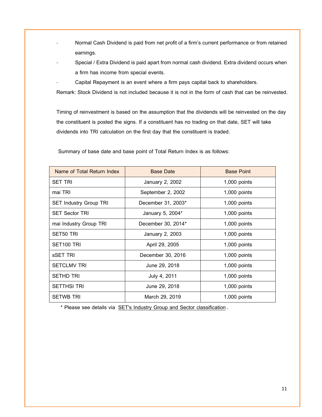- Normal Cash Dividend is paid from net profit of a firm's current performance or from retained earnings.
- Special / Extra Dividend is paid apart from normal cash dividend. Extra dividend occurs when a firm has income from special events.
- Capital Repayment is an event where a firm pays capital back to shareholders.

Remark: Stock Dividend is not included because it is not in the form of cash that can be reinvested.

Timing of reinvestment is based on the assumption that the dividends will be reinvested on the day the constituent is posted the signs. If a constituent has no trading on that date, SET will take dividends into TRI calculation on the first day that the constituent is traded.

| Name of Total Return Index    | <b>Base Date</b>   | <b>Base Point</b> |
|-------------------------------|--------------------|-------------------|
| <b>SET TRI</b>                | January 2, 2002    | 1,000 points      |
| mai TRI                       | September 2, 2002  | 1,000 points      |
| <b>SET Industry Group TRI</b> | December 31, 2003* | $1,000$ points    |
| <b>SET Sector TRI</b>         | January 5, 2004*   | $1,000$ points    |
| mai Industry Group TRI        | December 30, 2014* | $1,000$ points    |
| SET50 TRI                     | January 2, 2003    | $1,000$ points    |
| SET <sub>100</sub> TRI        | April 29, 2005     | 1,000 points      |
| sSET TRI                      | December 30, 2016  | 1,000 points      |
| <b>SETCLMV TRI</b>            | June 29, 2018      | 1,000 points      |
| <b>SETHD TRI</b>              | July 4, 2011       | 1,000 points      |
| <b>SETTHSI TRI</b>            | June 29, 2018      | 1,000 points      |
| <b>SETWB TRI</b>              | March 29, 2019     | $1,000$ points    |

Summary of base date and base point of Total Return Index is as follows:

\* Please see details via [SET's Industry Group and Sector classification](https://www.set.or.th/en/products/index/files/2015-2-19-SET-Industry-Group-Sector-Classification-En.pdf).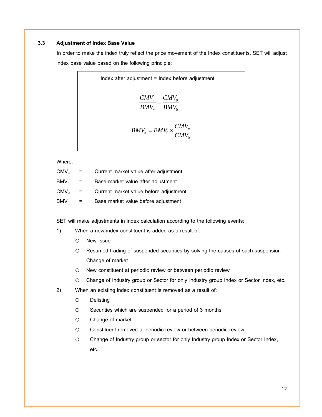# <span id="page-11-0"></span>**3.3 Adjustment of Index Base Value**

In order to make the index truly reflect the price movement of the Index constituents, SET will adjust index base value based on the following principle:

Index after adjustment = Index before adjustment  
\n
$$
\frac{CMV_n}{BMV_n} = \frac{CMV_0}{BMV_0}
$$
\n
$$
BMV_n = BMV_0 \times \frac{CMV_n}{CMV_0}
$$

Where:

| CMV <sub>n</sub> | $=$ | Current market value after adjustment  |
|------------------|-----|----------------------------------------|
| $BMV_{n}$        | $=$ | Base market value after adjustment     |
| $CMV_0$          | $=$ | Current market value before adjustment |
| $BMV_0$          |     | Base market value before adjustment    |

SET will make adjustments in index calculation according to the following events:

- 1) When a new index constituent is added as a result of:
	- o New Issue
	- o Resumed trading of suspended securities by solving the causes of such suspension Change of market
	- o New constituent at periodic review or between periodic review
	- o Change of Industry group or Sector for only Industry group Index or Sector Index, etc.
- 2) When an existing index constituent is removed as a result of:
	- o Delisting
	- o Securities which are suspended for a period of 3 months
	- o Change of market
	- o Constituent removed at periodic review or between periodic review
	- o Change of Industry group or sector for only Industry group Index or Sector Index, etc.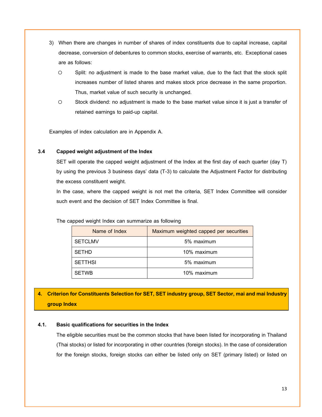- 3) When there are changes in number of shares of index constituents due to capital increase, capital decrease, conversion of debentures to common stocks, exercise of warrants, etc. Exceptional cases are as follows:
	- o Split: no adjustment is made to the base market value, due to the fact that the stock split increases number of listed shares and makes stock price decrease in the same proportion. Thus, market value of such security is unchanged.
	- o Stock dividend: no adjustment is made to the base market value since it is just a transfer of retained earnings to paid-up capital.

Examples of index calculation are in Appendix A.

#### <span id="page-12-0"></span>**3.4 Capped weight adjustment of the Index**

SET will operate the capped weight adjustment of the Index at the first day of each quarter (day T) by using the previous 3 business days' data (T-3) to calculate the Adjustment Factor for distributing the excess constituent weight.

In the case, where the capped weight is not met the criteria, SET Index Committee will consider such event and the decision of SET Index Committee is final.

The capped weight Index can summarize as following

| Name of Index  | Maximum weighted capped per securities |
|----------------|----------------------------------------|
| <b>SETCLMV</b> | 5% maximum                             |
| <b>SETHD</b>   | 10% maximum                            |
| <b>SETTHSI</b> | 5% maximum                             |
| <b>SETWB</b>   | 10% maximum                            |

# <span id="page-12-1"></span>**4. Criterion for Constituents Selection for SET, SET industry group, SET Sector, mai and mai Industry group Index**

# <span id="page-12-2"></span>**4.1. Basic qualifications for securities in the Index**

The eligible securities must be the common stocks that have been listed for incorporating in Thailand (Thai stocks) or listed for incorporating in other countries (foreign stocks). In the case of consideration for the foreign stocks, foreign stocks can either be listed only on SET (primary listed) or listed on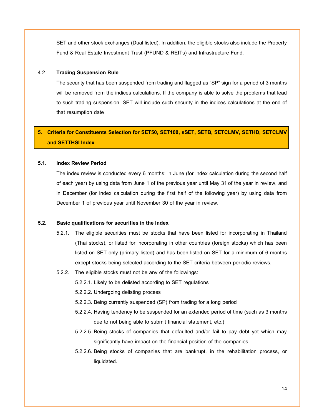SET and other stock exchanges (Dual listed). In addition, the eligible stocks also include the Property Fund & Real Estate Investment Trust (PFUND & REITs) and Infrastructure Fund.

# 4.2 **Trading Suspension Rule**

The security that has been suspended from trading and flagged as "SP" sign for a period of 3 months will be removed from the indices calculations. If the company is able to solve the problems that lead to such trading suspension, SET will include such security in the indices calculations at the end of that resumption date

# <span id="page-13-0"></span>**5. Criteria for Constituents Selection for SET50, SET100, sSET, SETB, SETCLMV, SETHD, SETCLMV and SETTHSI Index**

#### <span id="page-13-1"></span>**5.1. Index Review Period**

The index review is conducted every 6 months: in June (for index calculation during the second half of each year) by using data from June 1 of the previous year until May 31of the year in review, and in December (for index calculation during the first half of the following year) by using data from December 1 of previous year until November 30 of the year in review.

# <span id="page-13-2"></span>**5.2. Basic qualifications for securities in the Index**

- 5.2.1. The eligible securities must be stocks that have been listed for incorporating in Thailand (Thai stocks), or listed for incorporating in other countries (foreign stocks) which has been listed on SET only (primary listed) and has been listed on SET for a minimum of 6 months except stocks being selected according to the SET criteria between periodic reviews.
- 5.2.2. The eligible stocks must not be any of the followings:
	- 5.2.2.1. Likely to be delisted according to SET regulations
	- 5.2.2.2. Undergoing delisting process
	- 5.2.2.3. Being currently suspended (SP) from trading for a long period
	- 5.2.2.4. Having tendency to be suspended for an extended period of time (such as 3 months due to not being able to submit financial statement, etc.)
	- 5.2.2.5. Being stocks of companies that defaulted and/or fail to pay debt yet which may significantly have impact on the financial position of the companies.
	- 5.2.2.6. Being stocks of companies that are bankrupt, in the rehabilitation process, or liquidated.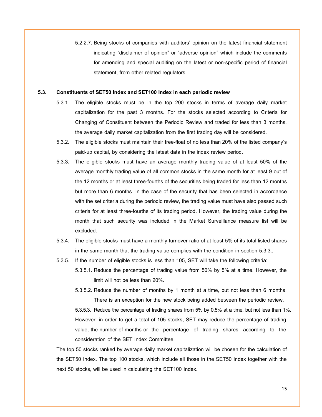5.2.2.7. Being stocks of companies with auditors' opinion on the latest financial statement indicating "disclaimer of opinion" or "adverse opinion" which include the comments for amending and special auditing on the latest or non-specific period of financial statement, from other related regulators.

#### <span id="page-14-0"></span>**5.3. Constituents of SET50 Index and SET100 Index in each periodic review**

- 5.3.1. The eligible stocks must be in the top 200 stocks in terms of average daily market capitalization for the past 3 months. For the stocks selected according to Criteria for Changing of Constituent between the Periodic Review and traded for less than 3 months, the average daily market capitalization from the first trading day will be considered.
- 5.3.2. The eligible stocks must maintain their free-float of no less than20% of the listed company's paid-up capital, by considering the latest data in the index review period.
- 5.3.3. The eligible stocks must have an average monthly trading value of at least 50% of the average monthly trading value of all common stocks in the same month for at least 9 out of the 12 months or at least three-fourths of the securities being traded for less than 12 months but more than 6 months. In the case of the security that has been selected in accordance with the set criteria during the periodic review, the trading value must have also passed such criteria for at least three-fourths of its trading period. However, the trading value during the month that such security was included in the Market Surveillance measure list will be excluded.
- 5.3.4. The eligible stocks must have a monthly turnover ratio of at least 5% of its total listed shares in the same month that the trading value complies with the condition in section 5.3.3.,
- 5.3.5. If the number of eligible stocks is less than 105, SET will take the following criteria:
	- 5.3.5.1. Reduce the percentage of trading value from 50% by 5% at a time. However, the limit will not be less than 20%.
	- 5.3.5.2. Reduce the number of months by 1 month at a time, but not less than 6 months. There is an exception for the new stock being added between the periodic review.

5.3.5.3. Reduce the percentage of trading shares from 5% by 0.5% at a time, butnot less than 1%. However, in order to get a total of 105 stocks, SET may reduce the percentage of trading value, the number of months or the percentage of trading shares according to the consideration of the SET Index Committee.

The top 50 stocks ranked by average daily market capitalization will be chosen for the calculation of the SET50 Index. The top 100 stocks, which include all those in the SET50 Index together with the next 50 stocks, will be used in calculating the SET100 Index.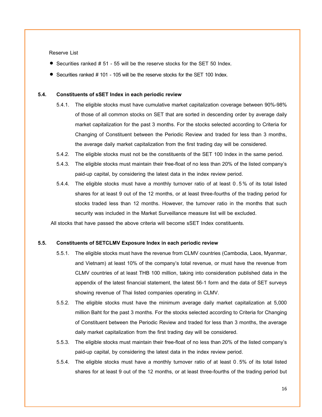#### Reserve List

- Securities ranked # 51 55 will be the reserve stocks for the SET 50 Index.
- Securities ranked # 101 105 will be the reserve stocks for the SET 100 Index.

#### <span id="page-15-0"></span>**5.4. Constituents of sSET Index in each periodic review**

- 5.4.1. The eligible stocks must have cumulative market capitalization coverage between 90%-98% of those of all common stocks on SET that are sorted in descending order by average daily market capitalization for the past 3 months. For the stocks selected according to Criteria for Changing of Constituent between the Periodic Review and traded for less than 3 months, the average daily market capitalization from the first trading day will be considered.
- 5.4.2. The eligible stocks must not be the constituents of the SET 100 Index in the same period.
- 5.4.3. The eligible stocks must maintain their free-float of no less than 20% of the listed company's paid-up capital, by considering the latest data in the index review period.
- 5.4.4. The eligible stocks must have a monthly turnover ratio of at least 0. 5% of its total listed shares for at least 9 out of the 12 months, or at least three-fourths of the trading period for stocks traded less than 12 months. However, the turnover ratio in the months that such security was included in the Market Surveillance measure list will be excluded.

All stocks that have passed the above criteria will become sSET Index constituents.

#### <span id="page-15-1"></span>**5.5. Constituents of SETCLMV Exposure Index in each periodic review**

- 5.5.1. The eligible stocks must have the revenue from CLMV countries (Cambodia, Laos, Myanmar, and Vietnam) at least 10% of the company's total revenue, or must have the revenue from CLMV countries of at least THB 100 million, taking into consideration published data in the appendix of the latest financial statement, the latest 56-1 form and the data of SET surveys showing revenue of Thai listed companies operating in CLMV.
- 5.5.2. The eligible stocks must have the minimum average daily market capitalization at 5,000 million Baht for the past 3 months. For the stocks selected according to Criteria for Changing of Constituent between the Periodic Review and traded for less than 3 months, the average daily market capitalization from the first trading day will be considered.
- 5.5.3. The eligible stocks must maintain their free-float of no less than20% of the listed company's paid-up capital, by considering the latest data in the index review period.
- 5.5.4. The eligible stocks must have a monthly turnover ratio of at least 0.5% of its total listed shares for at least 9 out of the 12 months, or at least three-fourths of the trading period but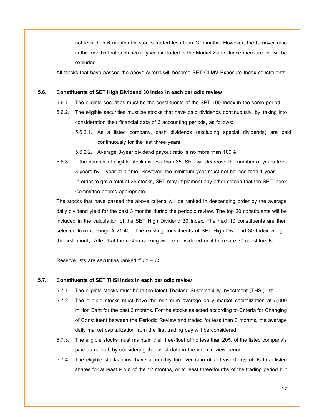not less than 6 months for stocks traded less than 12 months. However, the turnover ratio in the months that such security was included in the Market Surveillance measure list will be excluded.

All stocks that have passed the above criteria will become SET CLMV Exposure Index constituents.

#### <span id="page-16-0"></span>**5.6. Constituents of SET High Dividend 30 Index in each periodic review**

- 5.6.1. The eligible securities must be the constituents of the SET 100 Index in the same period.
- 5.6.2. The eligible securities must be stocks that have paid dividends continuously, by taking into consideration their financial data of 3 accounting periods, as follows:
	- 5.6.2.1. As a listed company, cash dividends (excluding special dividends) are paid continuously for the last three years.
	- 5.6.2.2. Average 3-year dividend payout ratio is no more than 100%.
- 5.6.3. If the number of eligible stocks is less than 35, SET will decrease the number of years from 3 years by 1 year at a time. However, the minimum year must not be less than 1 year. In order to get a total of 35 stocks, SET may implement any other criteria that the SET Index Committee deems appropriate.

The stocks that have passed the above criteria will be ranked in descending order by the average daily dividend yield for the past 3 months during the periodic review. The top 20 constituents will be included in the calculation of the SET High Dividend 30 Index. The next 10 constituents are then selected from rankings # 21-40. The existing constituents of SET High Dividend 30 Index will get the first priority. After that the rest in ranking will be considered until there are 30 constituents.

Reserve lists are securities ranked # 31 – 35*.*

#### <span id="page-16-1"></span>**5.7. Constituents of SET THSI Index in each periodic review**

- 5.7.1. The eligible stocks must be in the latest Thailand Sustainability Investment (THSI) list.
- 5.7.2. The eligible stocks must have the minimum average daily market capitalization at 5,000 million Baht for the past 3 months. For the stocks selected according to Criteria for Changing of Constituent between the Periodic Review and traded for less than 3 months, the average daily market capitalization from the first trading day will be considered.
- 5.7.3. The eligible stocks must maintain their free-float of no less than20% of the listed company's paid-up capital, by considering the latest data in the index review period.
- 5.7.4. The eligible stocks must have a monthly turnover ratio of at least 0.5% of its total listed shares for at least 9 out of the 12 months, or at least three-fourths of the trading period but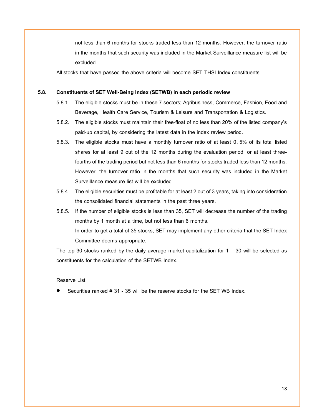not less than 6 months for stocks traded less than 12 months. However, the turnover ratio in the months that such security was included in the Market Surveillance measure list will be excluded.

All stocks that have passed the above criteria will become SET THSI Index constituents.

#### <span id="page-17-0"></span>**5.8. Constituents of SET Well-Being Index (SETWB) in each periodic review**

- 5.8.1. The eligible stocks must be in these 7 sectors; Agribusiness, Commerce, Fashion, Food and Beverage, Health Care Service, Tourism & Leisure and Transportation & Logistics.
- 5.8.2. The eligible stocks must maintain their free-float of no less than20% of the listed company's paid-up capital, by considering the latest data in the index review period.
- 5.8.3. The eligible stocks must have a monthly turnover ratio of at least 0.5% of its total listed shares for at least 9 out of the 12 months during the evaluation period, or at least threefourths of the trading period but not less than 6 months for stocks traded less than 12 months. However, the turnover ratio in the months that such security was included in the Market Surveillance measure list will be excluded.
- 5.8.4. The eligible securities must be profitable for at least 2 out of 3 years, taking into consideration the consolidated financial statements in the past three years.
- 5.8.5. If the number of eligible stocks is less than 35, SET will decrease the number of the trading months by 1 month at a time, but not less than 6 months. In order to get a total of 35 stocks, SET may implement any other criteria that the SET Index Committee deems appropriate.

The top 30 stocks ranked by the daily average market capitalization for  $1 - 30$  will be selected as constituents for the calculation of the SETWB Index.

#### Reserve List

Securities ranked # 31 - 35 will be the reserve stocks for the SET WB Index.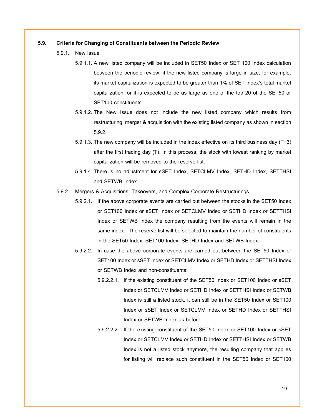#### <span id="page-18-0"></span>**5.9. Criteria for Changing of Constituents between the Periodic Review**

- 5.9.1. New Issue
	- 5.9.1.1. A new listed company will be included in SET50 Index or SET 100 Index calculation between the periodic review, if the new listed company is large in size, for example, its market capitalization is expected to be greater than 1% of SET Index's total market capitalization, or it is expected to be as large as one of the top 20 of the SET50 or SET100 constituents.
	- 5.9.1.2.The New Issue does not include the new listed company which results from restructuring, merger & acquisition with the existing listed company as shown insection 5.9.2.
	- 5.9.1.3.The new company will be included in the index effective on its third business day (T+3) after the first trading day (T). In this process, the stock with lowest ranking by market capitalization will be removed to the reserve list.
	- 5.9.1.4.There is no adjustment for sSET Index, SETCLMV Index, SETHD Index, SETTHSI and SETWB Index
- 5.9.2. Mergers & Acquisitions, Takeovers, and Complex Corporate Restructurings
	- 5.9.2.1. If the above corporate events are carried out between the stocks in the SET50 Index or SET100 Index or sSET Index or SETCLMV Index or SETHD Index or SETTHSI Index or SETWB Index the company resulting from the events will remain in the same index. The reserve list will be selected to maintain the number of constituents in the SET50 Index, SET100 Index, SETHD Index and SETWB Index.
	- 5.9.2.2. In case the above corporate events are carried out between the SET50 Index or SET100 Index or sSET Index or SETCLMV Index or SETHD Index or SETTHSI Index or SETWB Index and non-constituents:
		- 5.9.2.2.1. If the existing constituent of the SET50 Index or SET100 Index or sSET Index or SETCLMV Index or SETHD Index or SETTHSI Index or SETWB Index is still a listed stock, it can still be in the SET50 Index or SET100 Index or sSET Index or SETCLMV Index or SETHD Index or SETTHSI Index or SETWB Index as before.
		- 5.9.2.2.2. If the existing constituent of the SET50 Index or SET100 Index or sSET Index or SETCLMV Index or SETHD Index or SETTHSI Index or SETWB Index is not a listed stock anymore, the resulting company that applies for listing will replace such constituent in the SET50 Index or SET100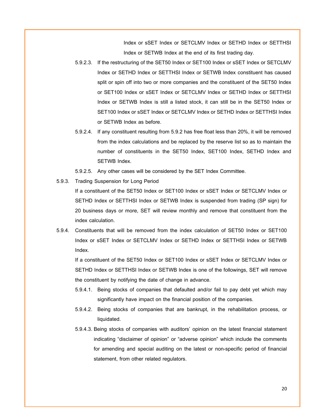Index or sSET Index or SETCLMV Index or SETHD Index or SETTHSI Index or SETWB Index at the end of its first trading day.

- 5.9.2.3. If the restructuring of the SET50 Index or SET100 Index or sSET Index or SETCLMV Index or SETHD Index or SETTHSI Index or SETWB Index constituent has caused split or spin off into two or more companies and the constituent of the SET50 Index or SET100 Index or sSET Index or SETCLMV Index or SETHD Index or SETTHSI Index or SETWB Index is still a listed stock, it can still be in the SET50 Index or SET100 Index or sSET Index or SETCLMV Index or SETHD Index or SETTHSI Index or SETWB Index as before.
- 5.9.2.4. If any constituent resulting from 5.9.2 has free float less than 20%, it will be removed from the index calculations and be replaced by the reserve list so as to maintain the number of constituents in the SET50 Index, SET100 Index, SETHD Index and SETWB Index.
- 5.9.2.5. Any other cases will be considered by the SET Index Committee.
- 5.9.3. Trading Suspension for Long Period

If a constituent of the SET50 Index or SET100 Index or sSET Index or SETCLMV Index or SETHD Index or SETTHSI Index or SETWB Index is suspended from trading (SP sign) for 20 business days or more, SET will review monthly and remove that constituent from the index calculation.

5.9.4. Constituents that will be removed from the index calculation of SET50 Index or SET100 Index or sSET Index or SETCLMV Index or SETHD Index or SETTHSI Index or SETWB Index.

If a constituent of the SET50 Index or SET100 Index or sSET Index or SETCLMV Index or SETHD Index or SETTHSI Index or SETWB Index is one of the followings, SET will remove the constituent by notifying the date of change in advance.

- 5.9.4.1. Being stocks of companies that defaulted and/or fail to pay debt yet which may significantly have impact on the financial position of the companies.
- 5.9.4.2. Being stocks of companies that are bankrupt, in the rehabilitation process, or liquidated.
- 5.9.4.3. Being stocks of companies with auditors' opinion on the latest financial statement indicating "disclaimer of opinion" or "adverse opinion" which include the comments for amending and special auditing on the latest or non-specific period of financial statement, from other related regulators.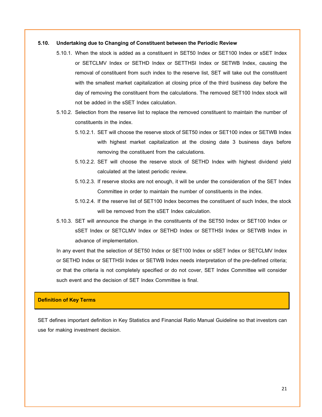#### <span id="page-20-0"></span>**5.10. Undertaking due to Changing of Constituent between the Periodic Review**

- 5.10.1. When the stock is added as a constituent in SET50 Index or SET100 Index or sSET Index or SETCLMV Index or SETHD Index or SETTHSI Index or SETWB Index, causing the removal of constituent from such index to the reserve list, SET will take out the constituent with the smallest market capitalization at closing price of the third business day before the day of removing the constituent from the calculations. The removed SET100 Index stock will not be added in the sSET Index calculation.
- 5.10.2. Selection from the reserve list to replace the removed constituent to maintain the number of constituents in the index.
	- 5.10.2.1. SET will choose the reserve stock of SET50 index or SET100 index or SETWB Index with highest market capitalization at the closing date 3 business days before removing the constituent from the calculations.
	- 5.10.2.2. SET will choose the reserve stock of SETHD Index with highest dividend yield calculated at the latest periodic review.
	- 5.10.2.3. If reserve stocks are not enough, it will be under the consideration of the SET Index Committee in order to maintain the number of constituents in the index.
	- 5.10.2.4. If the reserve list of SET100 Index becomes the constituent of such Index, the stock will be removed from the sSET Index calculation.
- 5.10.3. SET will announce the change in the constituents of the SET50 Index or SET100 Index or sSET Index or SETCLMV Index or SETHD Index or SETTHSI Index or SETWB Index in advance of implementation.

In any event that the selection of SET50 Index or SET100 Index or sSET Index or SETCLMV Index or SETHD Index or SETTHSI Index or SETWB Index needs interpretation of the pre-defined criteria; or that the criteria is not completely specified or do not cover, SET Index Committee will consider such event and the decision of SET Index Committee is final.

# <span id="page-20-1"></span>**Definition of Key Terms**

SET defines important definition in [Key Statistics and Financial Ratio](http://www.set.or.th/th/market/files/SET_Formula_Glossary.pdf) Manual Guideline so that investors can use for making investment decision.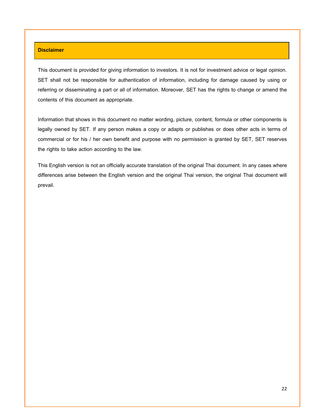#### <span id="page-21-0"></span>**Disclaimer**

This document is provided for giving information to investors. It is not for investment advice or legal opinion. SET shall not be responsible for authentication of information, including for damage caused by using or referring or disseminating a part or all of information. Moreover, SET has the rights to change or amend the contents of this document as appropriate.

Information that shows in this document no matter wording, picture, content, formula or other components is legally owned by SET. If any person makes a copy or adapts or publishes or does other acts in terms of commercial or for his / her own benefit and purpose with no permission is granted by SET, SET reserves the rights to take action according to the law.

This English version is not an officially accurate translation of the original Thai document. In any cases where differences arise between the English version and the original Thai version, the original Thai document will prevail.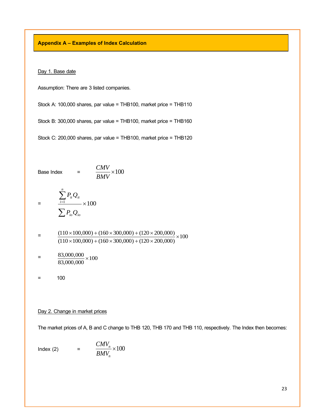<span id="page-22-0"></span>**Appendix A – Examples of Index Calculation** 

Day 1. Base date

Assumption: There are 3 listed companies.

Stock A: 100,000 shares, par value = THB100, market price = THB110

Stock B: 300,000 shares, par value = THB100, market price = THB160

Stock C: 200,000 shares, par value = THB100, market price = THB120

Base Index = 
$$
\frac{CMV}{BMV} \times 100
$$
  
= 
$$
\frac{\sum_{i=1}^{n} P_{ii} Q_{ii}}{\sum P_{io} Q_{io}} \times 100
$$

 $\frac{(110 \times 100,000) + (100 \times 300,000) + (120 \times 200,000)}{(110 \times 100,000) + (160 \times 200,000) + (120 \times 200,000)} \times 100$  $(110 \times 100,000) + (160 \times 300,000) + (120 \times 200,000)$ (110 100,000) (160 300,000) (120 200,000)  $\times$ 100,000) + (160  $\times$ 300,000) + (120  $\times$  $\times$ 100,000) + (160  $\times$ 300,000) + (120  $\times$ 

$$
= \frac{83,000,000}{83,000,000} \times 100
$$

 $= 100$ 

### Day 2. Change in market prices

The market prices of A, B and C change to THB 120, THB 170 and THB 110, respectively. The Index then becomes:

$$
Index (2) = \frac{CMV_n}{BMV_n} \times 100
$$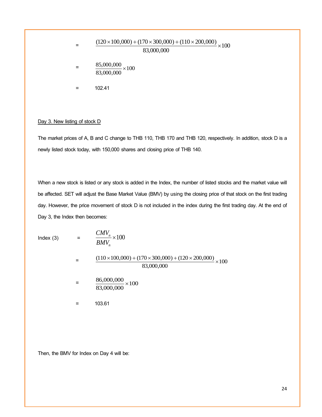$$
= \frac{(120 \times 100,000) + (170 \times 300,000) + (110 \times 200,000)}{83,000,000} \times 100
$$
  
= 
$$
\frac{85,000,000}{83,000,000} \times 100
$$
  
= 102.41

#### Day 3. New listing of stock D

The market prices of A, B and C change to THB 110, THB 170 and THB 120, respectively. In addition, stock D is a newly listed stock today, with 150,000 shares and closing price of THB 140.

When a new stock is listed or any stock is added in the Index, the number of listed stocks and the market value will be affected. SET will adjust the Base Market Value (BMV) by using the closing price of that stock on the first trading day. However, the price movement of stock D is not included in the index during the first trading day. At the end of Day 3, the Index then becomes:

Index (3)  $=$   $\frac{CMV_n}{DMV} \times 100$ *BMV CMV*

> $= \frac{(110 \times 100,000) + (170 \times 300,000) + (120 \times 200,000)}{00000000} \times 100$ 83,000,000 86,000,000

$$
= \frac{86,000,000}{83,000,000} \times 100
$$

*n n*

 $=$  103.61

Then, the BMV for Index on Day 4 will be: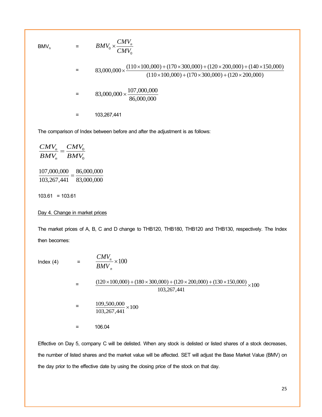$BMV_n$  =

$$
= BMV_0 \times \frac{CMV_n}{CMV_0}
$$
  
= 83,000,000 ×  $\frac{(110 \times 100,000) + (170 \times 300,000) + (120 \times 200,000) + (140 \times 150,000)}{(110 \times 100,000) + (170 \times 300,000) + (120 \times 200,000)}$ 

$$
= 83,000,000 \times \frac{107,000,000}{86,000,000}
$$

 $= 103,267,441$ 

The comparison of Index between before and after the adjustment is as follows:

$$
\frac{CMV_n}{BMV_n} = \frac{CMV_0}{BMV_0}
$$
  

$$
\frac{107,000,000}{103,267,441} = \frac{86,000,000}{83,000,000}
$$
  
103.61 = 103.61

#### Day 4. Change in market prices

The market prices of A, B, C and D change to THB120, THB180, THB120 and THB130, respectively. The Index then becomes:

Index  $(4)$ 

$$
= \frac{CMV_n}{BMV_n} \times 100
$$
  
= 
$$
\frac{(120 \times 100,000) + (180 \times 300,000) + (120 \times 200,000) + (130 \times 150,000)}{103,267,441} \times 100
$$
  
= 
$$
\frac{109,500,000}{103,267,441} \times 100
$$
  
= 106.04

Effective on Day 5, company C will be delisted. When any stock is delisted or listed shares of a stock decreases, the number of listed shares and the market value will be affected. SET will adjust the Base Market Value (BMV) on the day prior to the effective date by using the closing price of the stock on that day.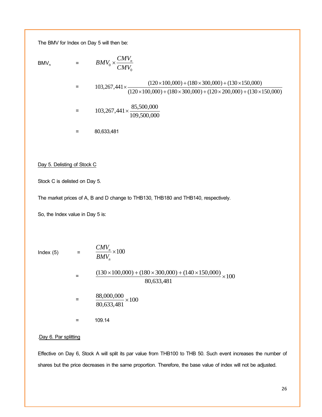The BMV for Index on Day 5 will then be:

 $BMV_n$ 

$$
= \qquad BMV_0 \times \frac{CMV_n}{CMV_0}
$$

$$
= 103,267,441 \times \frac{(120 \times 100,000) + (180 \times 300,000) + (130 \times 150,000)}{(120 \times 100,000) + (180 \times 300,000) + (120 \times 200,000) + (130 \times 150,000)}
$$

$$
= 103,267,441 \times \frac{85,500,000}{109,500,000}
$$

 $= 80,633,481$ 

Day 5. Delisting of Stock C

Stock C is delisted on Day 5.

The market prices of A, B and D change to THB130, THB180 and THB140, respectively.

So, the Index value in Day 5 is:

Index (5)  $=$   $\frac{CMV_n}{DMV} \times 100$ *n BMV CMV*

*n*

$$
= \frac{(130 \times 100,000) + (180 \times 300,000) + (140 \times 150,000)}{80,633,481} \times 100
$$

$$
= \frac{88,000,000}{80,633,481} \times 100
$$

 $= 109.14$ 

# .Day 6. Par splitting

Effective on Day 6, Stock A will split its par value from THB100 to THB 50. Such event increases the number of shares but the price decreases in the same proportion. Therefore, the base value of index will not be adjusted.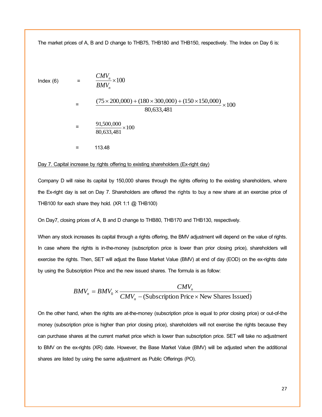The market prices of A, B and D change to THB75, THB180 and THB150, respectively. The Index on Day 6 is:

 $Index (6) =$ 

$$
= \frac{CMV_n}{BMV_n} \times 100
$$

$$
= \frac{(75 \times 200,000) + (180 \times 300,000) + (150 \times 150,000)}{80,633,481} \times 100
$$

$$
= \frac{91,500,000}{80,633,481} \times 100
$$

 $=$  113.48

#### Day 7. Capital increase by rights offering to existing shareholders (Ex-right day)

Company D will raise its capital by 150,000 shares through the rights offering to the existing shareholders, where the Ex-right day is set on Day 7. Shareholders are offered the rights to buy a new share at an exercise price of THB100 for each share they hold. (XR 1:1 @ THB100)

On Day7, closing prices of A, B and D change to THB80, THB170 and THB130, respectively.

When any stock increases its capital through a rights offering, the BMV adjustment will depend on the value of rights. In case where the rights is in-the-money (subscription price is lower than prior closing price), shareholders will exercise the rights. Then, SET will adjust the Base Market Value (BMV) at end of day (EOD) on the ex-rights date by using the Subscription Price and the new issued shares. The formula is as follow:

$$
BMV_n = BMV_0 \times \frac{CMV_n}{CMV_n - (Subscripto) Price \times New shares issued)}
$$

On the other hand, when the rights are at-the-money (subscription price is equal to prior closing price) or out-of-the money (subscription price is higher than prior closing price), shareholders will not exercise the rights because they can purchase shares at the current market price which is lower than subscription price. SET will take no adjustment to BMV on the ex-rights (XR) date. However, the Base Market Value (BMV) will be adjusted when the additional shares are listed by using the same adjustment as Public Offerings (PO).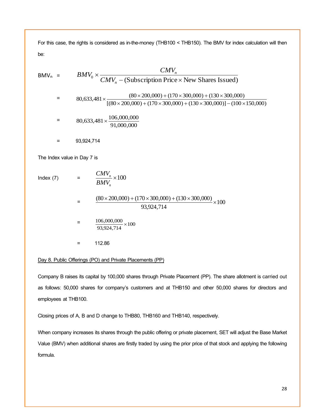For this case, the rights is considered as in-the-money (THB100 < THB150). The BMV for index calculation will then be:

$$
BMV_n = BMV_0 \times \frac{CMV_n}{CMV_n - (Subscript \text{Frice} \times \text{New Shares Issued})}
$$
  
\n= 80,633,481×\frac{(80×200,000)+(170×300,000)+(130×300,000)}{[(80×200,000)+(170×300,000)+(130×300,000)] - (100×150,000)}  
\n= 80,633,481×\frac{106,000,000}{91,000,000}  
\n= 93,924,714  
\nThe Index value in Day 7 is  
\nIndex (7) =  $\frac{CMV_n}{BMV_n} \times 100$   
\n=  $\frac{(80×200,000)+(170×300,000)+(130×300,000)}{93,924,714} \times 100$   
\n=  $\frac{106,000,000}{93,924,714} \times 100$   
\n= 112.86

# Day 8. Public Offerings (PO) and Private Placements (PP)

Company B raises its capital by 100,000 shares through Private Placement (PP). The share allotment is carried out as follows: 50,000 shares for company's customers and at THB150 and other 50,000 shares for directors and employees at THB100.

Closing prices of A, B and D change to THB80, THB160 and THB140, respectively.

When company increases its shares through the public offering or private placement, SET will adjust the Base Market Value (BMV) when additional shares are firstly traded by using the prior price of that stock and applying the following formula.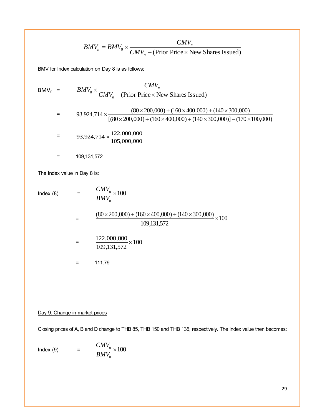$$
BMV_n = BMV_0 \times \frac{CMV_n}{CMV_n - (\text{Prior Price} \times \text{New shares Issue})}
$$

BMV for Index calculation on Day 8 is as follows:

$$
BMV_n = BMV_0 \times \frac{CMV_n}{CMV_n - (\text{Prior Price} \times \text{New Shares Issued})}
$$
  
= 93,924,714 ×  $\frac{(80 \times 200,000) + (160 \times 400,000) + (140 \times 300,000)}{[(80 \times 200,000) + (160 \times 400,000) + (140 \times 300,000)] - (170 \times 100,000)}$   
= 93,924,714 ×  $\frac{122,000,000}{105,000,000}$   
= 109,131,572

The Index value in Day 8 is:

 $Index (8) =$ 

$$
\frac{CMV_n}{BMV_n}{\times}100
$$

 $= \frac{(80 \times 200,000) + (160 \times 400,000) + (140 \times 300,000)}{100,131,572} \times 100$ 109,131,572

$$
= \frac{122,000,000}{109,131,572} \times 100
$$

$$
= 111.79
$$

# Day 9. Change in market prices

Closing prices of A, B and D change to THB 85, THB 150 and THB 135, respectively. The Index value then becomes:

$$
Index (9) = \frac{CMV_n}{BMV_n} \times 100
$$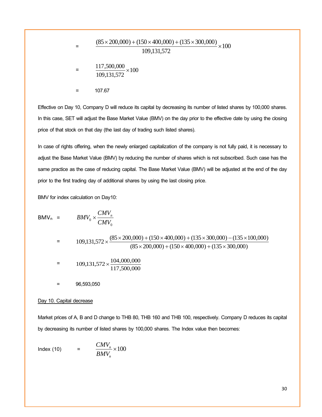$$
= \frac{(85 \times 200,000) + (150 \times 400,000) + (135 \times 300,000)}{109,131,572} \times 100
$$
  
= 
$$
\frac{117,500,000}{109,131,572} \times 100
$$
  
= 107.67

Effective on Day 10, Company D will reduce its capital by decreasing its number of listed shares by 100,000 shares. In this case, SET will adjust the Base Market Value (BMV) on the day prior to the effective date by using the closing price of that stock on that day (the last day of trading such listed shares).

In case of rights offering, when the newly enlarged capitalization of the company is not fully paid, it is necessary to adjust the Base Market Value (BMV) by reducing the number of shares which is not subscribed. Such case has the same practice as the case of reducing capital. The Base Market Value (BMV) will be adjusted at the end of the day prior to the first trading day of additional shares by using the last closing price.

BMV for index calculation on Day10:

$$
BMV_n = BMV_0 \times \frac{CMV_n}{CMV_0}
$$
  
= 109,131,572 \times \frac{(85 \times 200,000) + (150 \times 400,000) + (135 \times 300,000) - (135 \times 100,000)}{(85 \times 200,000) + (150 \times 400,000) + (135 \times 300,000)}  
= 109,131,572 \times \frac{104,000,000}{117,500,000}  
= 96,593,050

#### Day 10. Capital decrease

Market prices of A, B and D change to THB 80, THB 160 and THB 100, respectively. Company D reduces its capital by decreasing its number of listed shares by 100,000 shares. The Index value then becomes:

$$
Index (10) = \frac{CMV_n}{BMV_n} \times 100
$$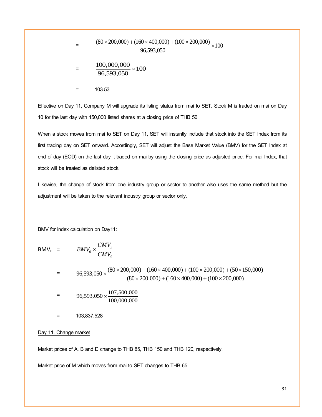$$
= \frac{(80 \times 200,000) + (160 \times 400,000) + (100 \times 200,000)}{96,593,050} \times 100
$$
  
= 
$$
\frac{100,000,000}{96,593,050} \times 100
$$
  
= 103.53

Effective on Day 11, Company M will upgrade its listing status from mai to SET. Stock M is traded on mai on Day 10 for the last day with 150,000 listed shares at a closing price of THB 50.

When a stock moves from mai to SET on Day 11, SET will instantly include that stock into the SET Index from its first trading day on SET onward. Accordingly, SET will adjust the Base Market Value (BMV) for the SET Index at end of day (EOD) on the last day it traded on mai by using the closing price as adjusted price. For mai Index, that stock will be treated as delisted stock.

Likewise, the change of stock from one industry group or sector to another also uses the same method but the adjustment will be taken to the relevant industry group or sector only.

BMV for index calculation on Day11:

$$
BMV_n = BMV_0 \times \frac{CMV_n}{CMV_0}
$$

$$
= 96,593,050 \times \frac{(80 \times 200,000) + (160 \times 400,000) + (100 \times 200,000) + (50 \times 150,000)}{(80 \times 200,000) + (160 \times 400,000) + (100 \times 200,000)}
$$

$$
= 96,593,050 \times \frac{107,500,000}{100,000,000}
$$

= 103,837,528

Day 11. Change market

Market prices of A, B and D change to THB 85, THB 150 and THB 120, respectively.

Market price of M which moves from mai to SET changes to THB 65.